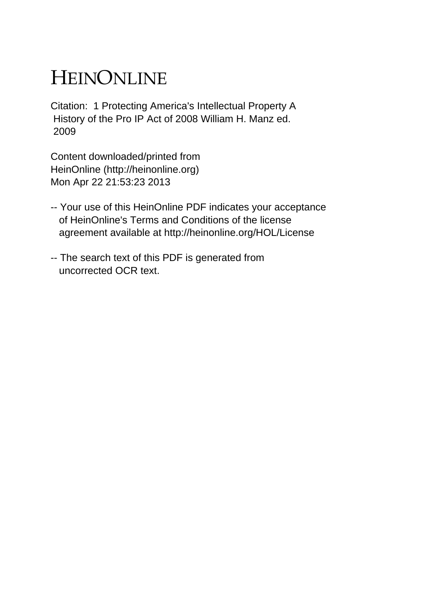# HEINONLINE

Citation: 1 Protecting America's Intellectual Property A History of the Pro IP Act of 2008 William H. Manz ed. 2009

Content downloaded/printed from HeinOnline (http://heinonline.org) Mon Apr 22 21:53:23 2013

- -- Your use of this HeinOnline PDF indicates your acceptance of HeinOnline's Terms and Conditions of the license agreement available at http://heinonline.org/HOL/License
- -- The search text of this PDF is generated from uncorrected OCR text.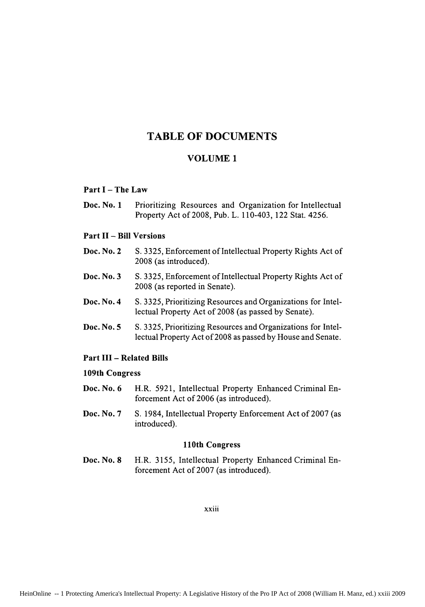# **TABLE OF DOCUMENTS**

# **VOLUME 1**

# **Part I- The Law**

Doc. No. **1** Prioritizing Resources and Organization for Intellectual Property Act of 2008, Pub. L. 110-403, 122 Stat. 4256.

# **Part II- Bill Versions**

- Doc. No. 2 **S. 3325,** Enforcement of Intellectual Property Rights Act of **2008** (as introduced).
- Doc. No. 3 S. 3325, Enforcement of Intellectual Property Rights Act of **2008** (as reported in Senate).
- Doe. No. 4 **S. 3325,** Prioritizing Resources and Organizations for Intellectual Property Act of **2008** (as passed **by** Senate).
- Doc. No. 5 S. 3325, Prioritizing Resources and Organizations for Intellectual Property Act of **2008** as passed **by** House and Senate.

# **Part III - Related Bills**

# **109th Congress**

- Doe. No. **6** H.R. **5921,** Intellectual Property Enhanced Criminal Enforcement Act of **2006** (as introduced).
- Doc. No. **7 S.** 1984, Intellectual Property Enforcement Act of **2007** (as introduced).

#### **110th Congress**

Doc. No. **8** H.R. **3155,** Intellectual Property Enhanced Criminal Enforcement Act of **2007** (as introduced).

xxiii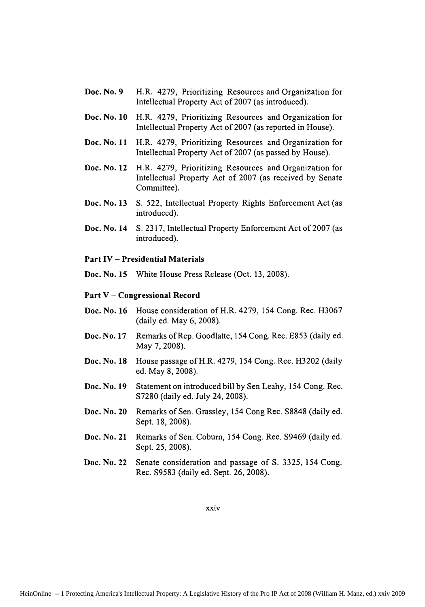- Doc. No. 9 H.R. 4279, Prioritizing Resources and Organization for Intellectual Property Act of 2007 (as introduced).
- Doc. No. 10 H.R. 4279, Prioritizing Resources and Organization for Intellectual Property Act of 2007 (as reported in House).
- Doc. No. 11 H.R. 4279, Prioritizing Resources and Organization for Intellectual Property Act of 2007 (as passed by House).
- Doc. No. 12 H.R. 4279, Prioritizing Resources and Organization for Intellectual Property Act of 2007 (as received by Senate Committee).
- Doc. No. 13 S. 522, Intellectual Property Rights Enforcement Act (as introduced).
- Doc. No. 14 **S.** 2317, Intellectual Property Enforcement Act of 2007 (as introduced).

#### Part IV **-** Presidential Materials

Doc. No. 15 White House Press Release (Oct. 13, 2008).

#### Part V **-** Congressional Record

- Doc. No. 16 House consideration of H.R. 4279, 154 Cong. Rec. H3067 (daily ed. May 6, 2008).
- Doc. No. 17 Remarks of Rep. Goodlatte, 154 Cong. Rec. E853 (daily ed. May 7, 2008).
- Doc. No. 18 House passage of H.R. 4279, 154 Cong. Rec. H3202 (daily ed. May 8, 2008).
- Doc. No. 19 Statement on introduced bill by Sen Leahy, 154 Cong. Rec. S7280 (daily ed. July 24, 2008).
- Doc. No. 20 Remarks of Sen. Grassley, 154 Cong Rec. S8848 (daily ed. Sept. 18, 2008).
- Doc. No. 21 Remarks of Sen. Coburn, 154 Cong. Rec. S9469 (daily ed. Sept. 25, 2008).
- Doc. No. 22 Senate consideration and passage of **S.** 3325, 154 Cong. Rec. S9583 (daily ed. Sept. 26, 2008).

xxiv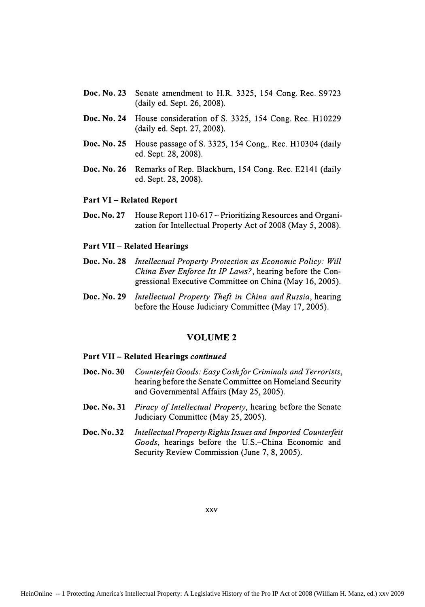- Doc. No. 23 Senate amendment to H.R. 3325, 154 Cong. Rec. S9723 (daily ed. Sept. 26, 2008).
- Doc. No. 24 House consideration of **S.** 3325, 154 Cong. Rec. H10229 (daily ed. Sept. 27, 2008).
- Doc. No. 25 House passage of **S.** 3325, 154 Cong,. Rec. H10304 (daily ed. Sept. 28, 2008).
- Doc. No. 26 Remarks of Rep. Blackburn, 154 Cong. Rec. E2141 (daily ed. Sept. 28, 2008).

#### Part **VI-** Related Report

Doc. No. 27 House Report 110-617- Prioritizing Resources and Organization for Intellectual Property Act of 2008 (May 5, 2008).

#### Part **VII- Related Hearings**

- Doc. No. 28 *Intellectual Property Protection as Economic Policy: Will China Ever Enforce Its IP Laws?,* hearing before the Congressional Executive Committee on China (May 16, 2005).
- Doc. No. **29** *Intellectual Property Theft in China and Russia,* hearing before the House Judiciary Committee (May 17, 2005).

# **VOLUME** 2

## **Part VII- Related Hearings** *continued*

- Doc. No. **30** *Counterfeit Goods: Easy Cash for Criminals and Terrorists,* hearing before the Senate Committee on Homeland Security and Governmental Affairs (May 25, 2005).
- Doc. No. 31 *Piracy of Intellectual Property,* hearing before the Senate Judiciary Committee (May 25, 2005).
- Doc. No. 32 *Intellectual Property Rights Issues and Imported Counterfeit Goods,* hearings before the U.S.-China Economic and Security Review Commission (June 7, 8, 2005).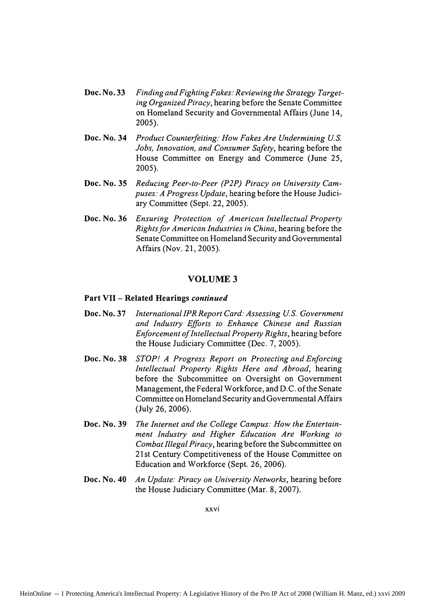- Doe. No.33 *Finding and Fighting Fakes: Reviewing the Strategy Targeting Organized Piracy,* hearing before the Senate Committee on Homeland Security and Governmental Affairs (June 14, 2005).
- Doe. No. 34 *Product Counterfeiting: How Fakes Are Undermining U.S. Jobs, Innovation, and Consumer Safety,* hearing before the House Committee on Energy and Commerce (June 25, 2005).
- Doc. No. **35** *Reducing Peer-to-Peer (P2P) Piracy on University Campuses:A Progress Update,* hearing before the House Judiciary Committee (Sept. 22, 2005).
- Doc. No. **36** *Ensuring Protection of American Intellectual Property Rights for American Industries in China,* hearing before the Senate Committee on Homeland Security and Governmental Affairs (Nov. 21, 2005).

# **VOLUME 3**

#### **Part VII - Related Hearings** *continued*

- **Doc. No. 37** *International IPR Report Card: Assessing US. Government and Industry Efforts to Enhance Chinese and Russian Enforcement of Intellectual Property Rights,* hearing before the House Judiciary Committee (Dec. **7,** 2005).
- *STOP! A Progress Report on Protecting and Enforcing Intellectual Property Rights Here and Abroad,* hearing before the Subcommittee on Oversight on Government Management, the Federal Workforce, and D.C. of the Senate Committee on Homeland Security and Governmental Affairs (July 26, 2006). **Doe. No. 38**
- *The Internet and the College Campus: How the Entertainment Industry and Higher Education Are Working to Combat Illegal Piracy,* hearing before the Subcommittee on 21 st Century Competitiveness of the House Committee on Education and Workforce (Sept. 26, 2006). **Doc. No. 39**
- *An Update: Piracy on University Networks,* hearing before the House Judiciary Committee (Mar. 8, 2007). **Doc. No. 40**

xxvi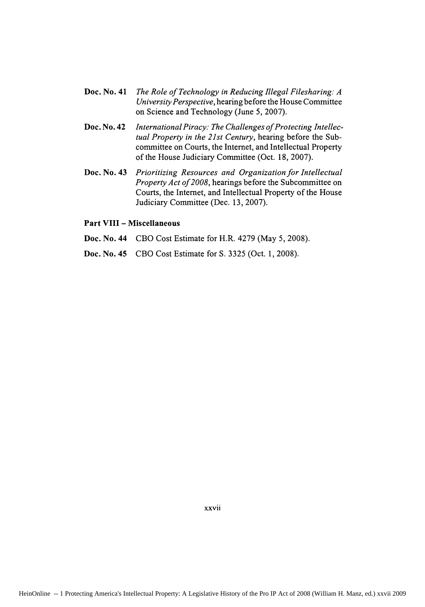- Doc. No. 41 *The Role of Technology in Reducing Illegal Filesharing: A University Perspective,* hearing before the House Committee on Science and Technology (June 5, **2007).**
- Doc. No. 42 *International Piracy: The Challenges of Protecting Intellectual Property in the 21st Century,* hearing before the Subcommittee on Courts, the Internet, and Intellectual Property of the House Judiciary Committee (Oct. 18, 2007).
- Doc. No. 43 *Prioritizing Resources and Organization for Intellectual Property Act of2008,* hearings before the Subcommittee on Courts, the Internet, and Intellectual Property of the House Judiciary Committee (Dec. 13, 2007).

## Part **VIII- Miscellaneous**

- Doc. No. 44 CBO Cost Estimate for H.R. 4279 (May 5, 2008).
- Doc. No. 45 CBO Cost Estimate for **S.** 3325 (Oct. 1, 2008).

xxvii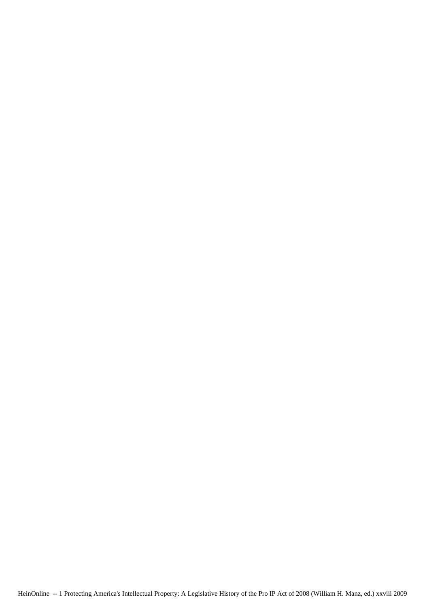HeinOnline -- 1 Protecting America's Intellectual Property: A Legislative History of the Pro IP Act of 2008 (William H. Manz, ed.) xxviii 2009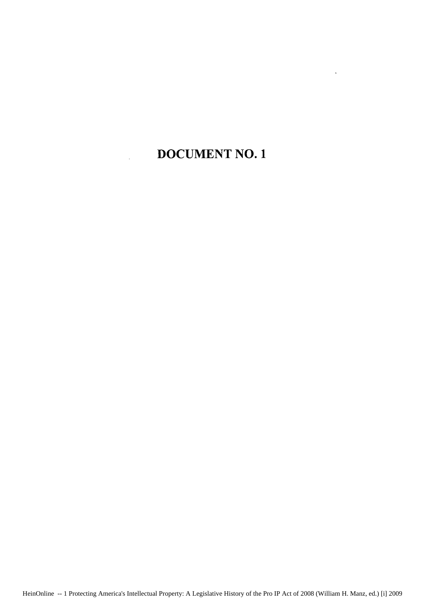# DOCUMENT NO. **I**

 $\ddot{\phantom{0}}$